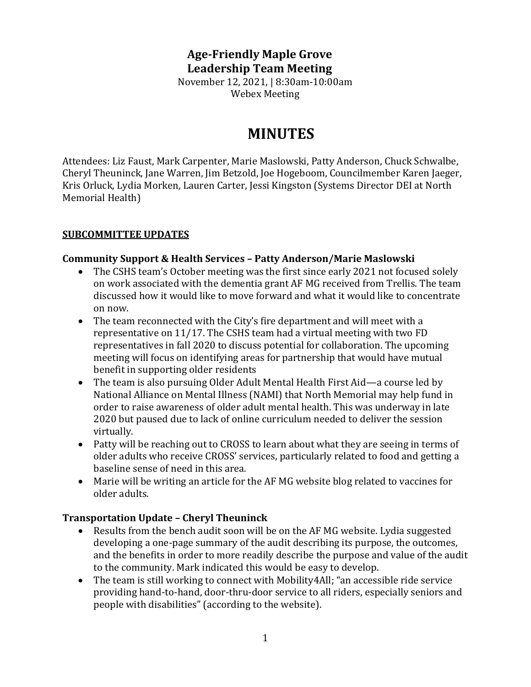# **Age-Friendly Maple Grove Leadership Team Meeting**

November 12, 2021, | 8:30am-10:00am Webex Meeting

# **MINUTES**

Attendees: Liz Faust, Mark Carpenter, Marie Maslowski, Patty Anderson, Chuck Schwalbe, Cheryl Theuninck, Jane Warren, Jim Betzold, Joe Hogeboom, Councilmember Karen Jaeger, Kris Orluck, Lydia Morken, Lauren Carter, Jessi Kingston (Systems Director DEI at North Memorial Health)

#### **SUBCOMMITTEE UPDATES**

#### **Community Support & Health Services – Patty Anderson/Marie Maslowski**

- The CSHS team's October meeting was the first since early 2021 not focused solely on work associated with the dementia grant AF MG received from Trellis. The team discussed how it would like to move forward and what it would like to concentrate on now.
- The team reconnected with the City's fire department and will meet with a representative on 11/17. The CSHS team had a virtual meeting with two FD representatives in fall 2020 to discuss potential for collaboration. The upcoming meeting will focus on identifying areas for partnership that would have mutual benefit in supporting older residents
- The team is also pursuing Older Adult Mental Health First Aid—a course led by National Alliance on Mental Illness (NAMI) that North Memorial may help fund in order to raise awareness of older adult mental health. This was underway in late 2020 but paused due to lack of online curriculum needed to deliver the session virtually.
- Patty will be reaching out to CROSS to learn about what they are seeing in terms of older adults who receive CROSS' services, particularly related to food and getting a baseline sense of need in this area.
- Marie will be writing an article for the AF MG website blog related to vaccines for older adults.

### **Transportation Update – Cheryl Theuninck**

- Results from the bench audit soon will be on the AF MG website. Lydia suggested developing a one-page summary of the audit describing its purpose, the outcomes, and the benefits in order to more readily describe the purpose and value of the audit to the community. Mark indicated this would be easy to develop.
- The team is still working to connect with Mobility 4All; "an accessible ride service providing hand-to-hand, door-thru-door service to all riders, especially seniors and people with disabilities" (according to the website).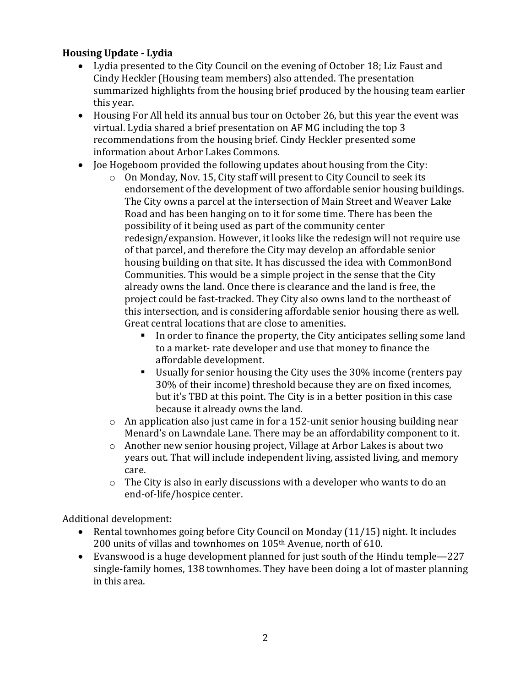# **Housing Update - Lydia**

- Lydia presented to the City Council on the evening of October 18; Liz Faust and Cindy Heckler (Housing team members) also attended. The presentation summarized highlights from the housing brief produced by the housing team earlier this year.
- Housing For All held its annual bus tour on October 26, but this year the event was virtual. Lydia shared a brief presentation on AF MG including the top 3 recommendations from the housing brief. Cindy Heckler presented some information about Arbor Lakes Commons.
- Joe Hogeboom provided the following updates about housing from the City:
	- o On Monday, Nov. 15, City staff will present to City Council to seek its endorsement of the development of two affordable senior housing buildings. The City owns a parcel at the intersection of Main Street and Weaver Lake Road and has been hanging on to it for some time. There has been the possibility of it being used as part of the community center redesign/expansion. However, it looks like the redesign will not require use of that parcel, and therefore the City may develop an affordable senior housing building on that site. It has discussed the idea with CommonBond Communities. This would be a simple project in the sense that the City already owns the land. Once there is clearance and the land is free, the project could be fast-tracked. They City also owns land to the northeast of this intersection, and is considering affordable senior housing there as well. Great central locations that are close to amenities.
		- In order to finance the property, the City anticipates selling some land to a market- rate developer and use that money to finance the affordable development.
		- Usually for senior housing the City uses the 30% income (renters pay 30% of their income) threshold because they are on fixed incomes, but it's TBD at this point. The City is in a better position in this case because it already owns the land.
	- o An application also just came in for a 152-unit senior housing building near Menard's on Lawndale Lane. There may be an affordability component to it.
	- o Another new senior housing project, Village at Arbor Lakes is about two years out. That will include independent living, assisted living, and memory care.
	- o The City is also in early discussions with a developer who wants to do an end-of-life/hospice center.

Additional development:

- Rental townhomes going before City Council on Monday (11/15) night. It includes 200 units of villas and townhomes on 105th Avenue, north of 610.
- Evanswood is a huge development planned for just south of the Hindu temple—227 single-family homes, 138 townhomes. They have been doing a lot of master planning in this area.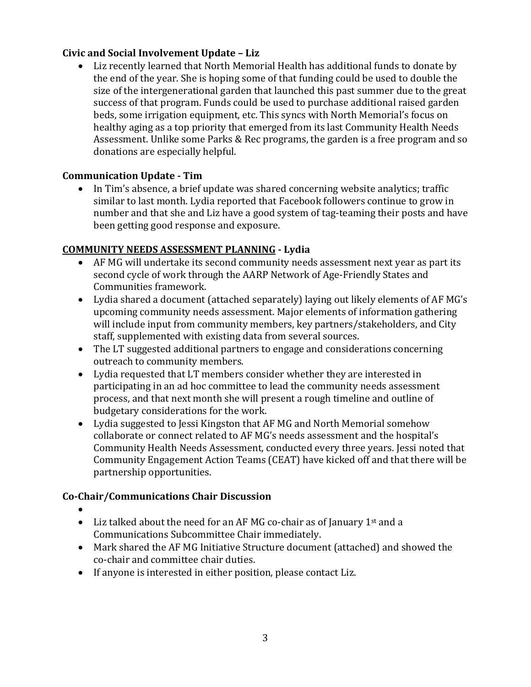# **Civic and Social Involvement Update – Liz**

• Liz recently learned that North Memorial Health has additional funds to donate by the end of the year. She is hoping some of that funding could be used to double the size of the intergenerational garden that launched this past summer due to the great success of that program. Funds could be used to purchase additional raised garden beds, some irrigation equipment, etc. This syncs with North Memorial's focus on healthy aging as a top priority that emerged from its last Community Health Needs Assessment. Unlike some Parks & Rec programs, the garden is a free program and so donations are especially helpful.

# **Communication Update - Tim**

• In Tim's absence, a brief update was shared concerning website analytics; traffic similar to last month. Lydia reported that Facebook followers continue to grow in number and that she and Liz have a good system of tag-teaming their posts and have been getting good response and exposure.

### **COMMUNITY NEEDS ASSESSMENT PLANNING - Lydia**

- AF MG will undertake its second community needs assessment next year as part its second cycle of work through the AARP Network of Age-Friendly States and Communities framework.
- Lydia shared a document (attached separately) laying out likely elements of AF MG's upcoming community needs assessment. Major elements of information gathering will include input from community members, key partners/stakeholders, and City staff, supplemented with existing data from several sources.
- The LT suggested additional partners to engage and considerations concerning outreach to community members.
- Lydia requested that LT members consider whether they are interested in participating in an ad hoc committee to lead the community needs assessment process, and that next month she will present a rough timeline and outline of budgetary considerations for the work.
- Lydia suggested to Jessi Kingston that AF MG and North Memorial somehow collaborate or connect related to AF MG's needs assessment and the hospital's Community Health Needs Assessment, conducted every three years. Jessi noted that Community Engagement Action Teams (CEAT) have kicked off and that there will be partnership opportunities.

# **Co-Chair/Communications Chair Discussion**

- • Liz talked about the need for an AF MG co-chair as of January  $1<sup>st</sup>$  and a Communications Subcommittee Chair immediately.
- Mark shared the AF MG Initiative Structure document (attached) and showed the co-chair and committee chair duties.
- If anyone is interested in either position, please contact Liz.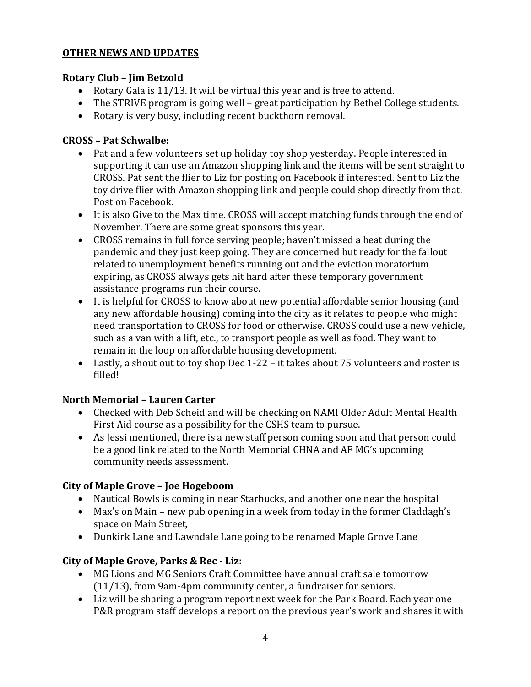### **OTHER NEWS AND UPDATES**

#### **Rotary Club – Jim Betzold**

- Rotary Gala is 11/13. It will be virtual this year and is free to attend.
- The STRIVE program is going well great participation by Bethel College students.
- Rotary is very busy, including recent buckthorn removal.

#### **CROSS – Pat Schwalbe:**

- Pat and a few volunteers set up holiday toy shop yesterday. People interested in supporting it can use an Amazon shopping link and the items will be sent straight to CROSS. Pat sent the flier to Liz for posting on Facebook if interested. Sent to Liz the toy drive flier with Amazon shopping link and people could shop directly from that. Post on Facebook.
- It is also Give to the Max time. CROSS will accept matching funds through the end of November. There are some great sponsors this year.
- CROSS remains in full force serving people; haven't missed a beat during the pandemic and they just keep going. They are concerned but ready for the fallout related to unemployment benefits running out and the eviction moratorium expiring, as CROSS always gets hit hard after these temporary government assistance programs run their course.
- It is helpful for CROSS to know about new potential affordable senior housing (and any new affordable housing) coming into the city as it relates to people who might need transportation to CROSS for food or otherwise. CROSS could use a new vehicle, such as a van with a lift, etc., to transport people as well as food. They want to remain in the loop on affordable housing development.
- Lastly, a shout out to toy shop Dec 1-22 it takes about 75 volunteers and roster is filled!

#### **North Memorial – Lauren Carter**

- Checked with Deb Scheid and will be checking on NAMI Older Adult Mental Health First Aid course as a possibility for the CSHS team to pursue.
- As Jessi mentioned, there is a new staff person coming soon and that person could be a good link related to the North Memorial CHNA and AF MG's upcoming community needs assessment.

### **City of Maple Grove – Joe Hogeboom**

- Nautical Bowls is coming in near Starbucks, and another one near the hospital
- Max's on Main new pub opening in a week from today in the former Claddagh's space on Main Street,
- Dunkirk Lane and Lawndale Lane going to be renamed Maple Grove Lane

### **City of Maple Grove, Parks & Rec - Liz:**

- MG Lions and MG Seniors Craft Committee have annual craft sale tomorrow (11/13), from 9am-4pm community center, a fundraiser for seniors.
- Liz will be sharing a program report next week for the Park Board. Each year one P&R program staff develops a report on the previous year's work and shares it with